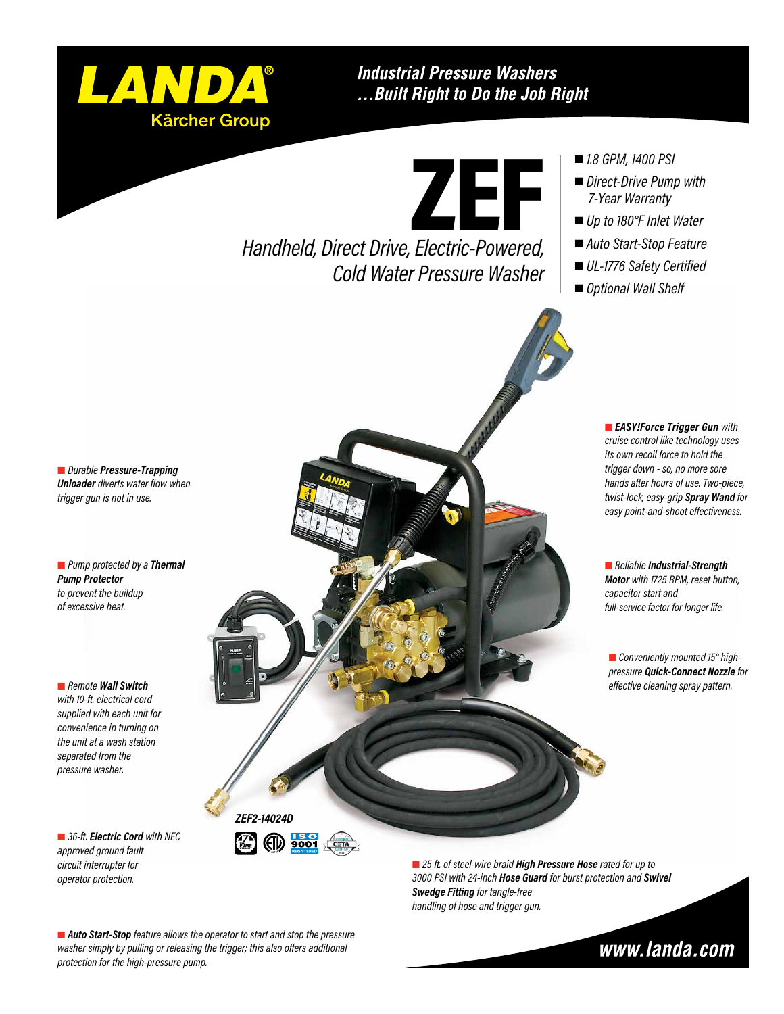

### **Industrial Pressure Washers** ... Built Right to Do the Job Right

ZEF

*Handheld, Direct Drive, Electric-Powered, Cold Water Pressure Washer*

- *1.8 GPM, 1400 PSI*
- *Direct-Drive Pump with 7-Year Warranty*
- *Up to 180°F Inlet Water*
- *Auto Start-Stop Feature*
- *UL-1776 Safety Certified*
- *Optional Wall Shelf*

 *Durable Pressure-Trapping Unloader diverts water flow when trigger gun is not in use.*

 *Pump protected by a Thermal Pump Protector to prevent the buildup of excessive heat.*

 *Remote Wall Switch with 10-ft. electrical cord supplied with each unit for convenience in turning on the unit at a wash station separated from the pressure washer.*

■ 36-ft. *Electric Cord with NEC approved ground fault circuit interrupter for operator protection.*



■ 25 ft. of steel-wire braid **High Pressure Hose** rated for up to *3000 PSI with 24-inch Hose Guard for burst protection and Swivel Swedge Fitting for tangle-free handling of hose and trigger gun.*

 *Auto Start-Stop feature allows the operator to start and stop the pressure washer simply by pulling or releasing the trigger; this also offers additional protection for the high-pressure pump.*

www.landa.com

 *EASY!Force Trigger Gun with cruise control like technology uses its own recoil force to hold the trigger down - so, no more sore hands after hours of use. Two-piece, twist-lock, easy-grip Spray Wand for easy point-and-shoot effectiveness.*

 *Reliable Industrial-Strength Motor with 1725 RPM, reset button, capacitor start and full-service factor for longer life.*

 *Conveniently mounted 15° highpressure Quick-Connect Nozzle for effective cleaning spray pattern.*